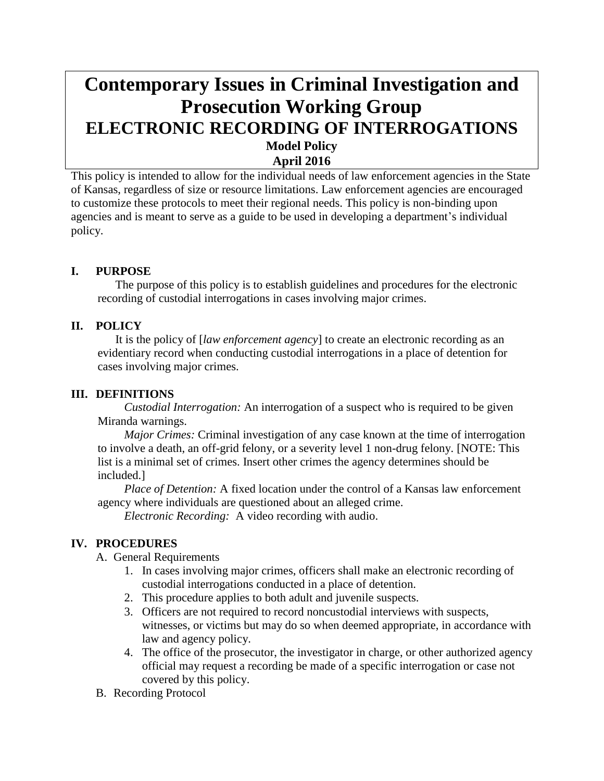# **Contemporary Issues in Criminal Investigation and Prosecution Working Group ELECTRONIC RECORDING OF INTERROGATIONS Model Policy April 2016**

This policy is intended to allow for the individual needs of law enforcement agencies in the State of Kansas, regardless of size or resource limitations. Law enforcement agencies are encouraged to customize these protocols to meet their regional needs. This policy is non-binding upon agencies and is meant to serve as a guide to be used in developing a department's individual policy.

# **I. PURPOSE**

The purpose of this policy is to establish guidelines and procedures for the electronic recording of custodial interrogations in cases involving major crimes.

### **II. POLICY**

It is the policy of [*law enforcement agency*] to create an electronic recording as an evidentiary record when conducting custodial interrogations in a place of detention for cases involving major crimes.

#### **III. DEFINITIONS**

*Custodial Interrogation:* An interrogation of a suspect who is required to be given Miranda warnings.

*Major Crimes:* Criminal investigation of any case known at the time of interrogation to involve a death, an off-grid felony, or a severity level 1 non-drug felony. [NOTE: This list is a minimal set of crimes. Insert other crimes the agency determines should be included.]

*Place of Detention:* A fixed location under the control of a Kansas law enforcement agency where individuals are questioned about an alleged crime.

*Electronic Recording:* A video recording with audio.

# **IV. PROCEDURES**

A. General Requirements

- 1. In cases involving major crimes, officers shall make an electronic recording of custodial interrogations conducted in a place of detention.
- 2. This procedure applies to both adult and juvenile suspects.
- 3. Officers are not required to record noncustodial interviews with suspects, witnesses, or victims but may do so when deemed appropriate, in accordance with law and agency policy.
- 4. The office of the prosecutor, the investigator in charge, or other authorized agency official may request a recording be made of a specific interrogation or case not covered by this policy.
- B. Recording Protocol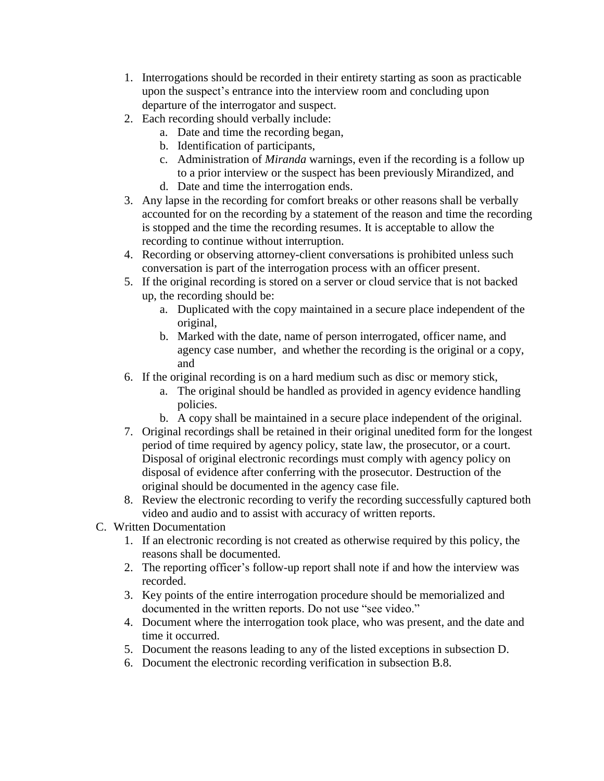- 1. Interrogations should be recorded in their entirety starting as soon as practicable upon the suspect's entrance into the interview room and concluding upon departure of the interrogator and suspect.
- 2. Each recording should verbally include:
	- a. Date and time the recording began,
	- b. Identification of participants,
	- c. Administration of *Miranda* warnings, even if the recording is a follow up to a prior interview or the suspect has been previously Mirandized, and
	- d. Date and time the interrogation ends.
- 3. Any lapse in the recording for comfort breaks or other reasons shall be verbally accounted for on the recording by a statement of the reason and time the recording is stopped and the time the recording resumes. It is acceptable to allow the recording to continue without interruption.
- 4. Recording or observing attorney-client conversations is prohibited unless such conversation is part of the interrogation process with an officer present.
- 5. If the original recording is stored on a server or cloud service that is not backed up, the recording should be:
	- a. Duplicated with the copy maintained in a secure place independent of the original,
	- b. Marked with the date, name of person interrogated, officer name, and agency case number, and whether the recording is the original or a copy, and
- 6. If the original recording is on a hard medium such as disc or memory stick,
	- a. The original should be handled as provided in agency evidence handling policies.
	- b. A copy shall be maintained in a secure place independent of the original.
- 7. Original recordings shall be retained in their original unedited form for the longest period of time required by agency policy, state law, the prosecutor, or a court. Disposal of original electronic recordings must comply with agency policy on disposal of evidence after conferring with the prosecutor. Destruction of the original should be documented in the agency case file.
- 8. Review the electronic recording to verify the recording successfully captured both video and audio and to assist with accuracy of written reports.
- C. Written Documentation
	- 1. If an electronic recording is not created as otherwise required by this policy, the reasons shall be documented.
	- 2. The reporting officer's follow-up report shall note if and how the interview was recorded.
	- 3. Key points of the entire interrogation procedure should be memorialized and documented in the written reports. Do not use "see video."
	- 4. Document where the interrogation took place, who was present, and the date and time it occurred.
	- 5. Document the reasons leading to any of the listed exceptions in subsection D.
	- 6. Document the electronic recording verification in subsection B.8.